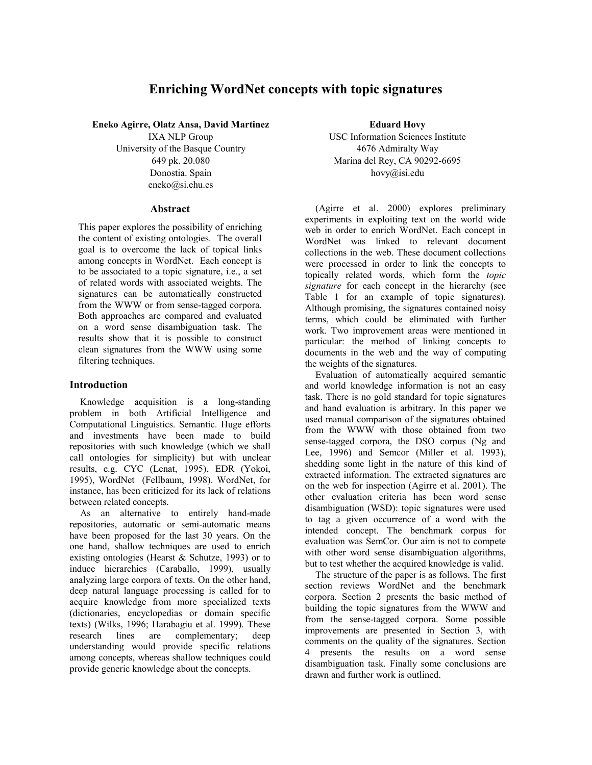# **Enriching WordNet concepts with topic signatures**

**Eneko Agirre, Olatz Ansa, David Martinez** 

IXA NLP Group University of the Basque Country 649 pk. 20.080 Donostia. Spain eneko@si.ehu.es

### **Abstract**

This paper explores the possibility of enriching the content of existing ontologies. The overall goal is to overcome the lack of topical links among concepts in WordNet. Each concept is to be associated to a topic signature, i.e., a set of related words with associated weights. The signatures can be automatically constructed from the WWW or from sense-tagged corpora. Both approaches are compared and evaluated on a word sense disambiguation task. The results show that it is possible to construct clean signatures from the WWW using some filtering techniques.

# **Introduction**

Knowledge acquisition is a long-standing problem in both Artificial Intelligence and Computational Linguistics. Semantic. Huge efforts and investments have been made to build repositories with such knowledge (which we shall call ontologies for simplicity) but with unclear results, e.g. CYC (Lenat, 1995), EDR (Yokoi, 1995), WordNet (Fellbaum, 1998). WordNet, for instance, has been criticized for its lack of relations between related concepts.

As an alternative to entirely hand-made repositories, automatic or semi-automatic means have been proposed for the last 30 years. On the one hand, shallow techniques are used to enrich existing ontologies (Hearst & Schutze, 1993) or to induce hierarchies (Caraballo, 1999), usually analyzing large corpora of texts. On the other hand, deep natural language processing is called for to acquire knowledge from more specialized texts (dictionaries, encyclopedias or domain specific texts) (Wilks, 1996; Harabagiu et al. 1999). These research lines are complementary; deep understanding would provide specific relations among concepts, whereas shallow techniques could provide generic knowledge about the concepts.

**Eduard Hovy**  USC Information Sciences Institute 4676 Admiralty Way Marina del Rey, CA 90292-6695 hovy@isi.edu

(Agirre et al. 2000) explores preliminary experiments in exploiting text on the world wide web in order to enrich WordNet. Each concept in WordNet was linked to relevant document collections in the web. These document collections were processed in order to link the concepts to topically related words, which form the *topic signature* for each concept in the hierarchy (see Table 1 for an example of topic signatures). Although promising, the signatures contained noisy terms, which could be eliminated with further work. Two improvement areas were mentioned in particular: the method of linking concepts to documents in the web and the way of computing the weights of the signatures.

Evaluation of automatically acquired semantic and world knowledge information is not an easy task. There is no gold standard for topic signatures and hand evaluation is arbitrary. In this paper we used manual comparison of the signatures obtained from the WWW with those obtained from two sense-tagged corpora, the DSO corpus (Ng and Lee, 1996) and Semcor (Miller et al. 1993), shedding some light in the nature of this kind of extracted information. The extracted signatures are on the web for inspection (Agirre et al. 2001). The other evaluation criteria has been word sense disambiguation (WSD): topic signatures were used to tag a given occurrence of a word with the intended concept. The benchmark corpus for evaluation was SemCor. Our aim is not to compete with other word sense disambiguation algorithms, but to test whether the acquired knowledge is valid.

The structure of the paper is as follows. The first section reviews WordNet and the benchmark corpora. Section 2 presents the basic method of building the topic signatures from the WWW and from the sense-tagged corpora. Some possible improvements are presented in Section 3, with comments on the quality of the signatures. Section 4 presents the results on a word sense disambiguation task. Finally some conclusions are drawn and further work is outlined.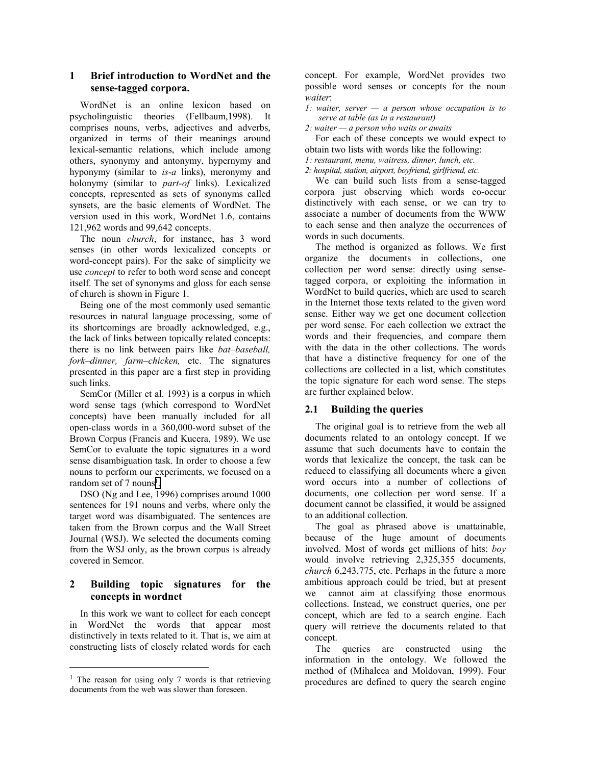# **1 Brief introduction to WordNet and the sense-tagged corpora.**

WordNet is an online lexicon based on psycholinguistic theories (Fellbaum,1998). It comprises nouns, verbs, adjectives and adverbs, organized in terms of their meanings around lexical-semantic relations, which include among others, synonymy and antonymy, hypernymy and hyponymy (similar to *is-a* links), meronymy and holonymy (similar to *part-of* links). Lexicalized concepts, represented as sets of synonyms called synsets, are the basic elements of WordNet. The version used in this work, WordNet 1.6, contains 121,962 words and 99,642 concepts.

The noun *church*, for instance, has 3 word senses (in other words lexicalized concepts or word-concept pairs). For the sake of simplicity we use *concept* to refer to both word sense and concept itself. The set of synonyms and gloss for each sense of church is shown in Figure 1.

Being one of the most commonly used semantic resources in natural language processing, some of its shortcomings are broadly acknowledged, e.g., the lack of links between topically related concepts: there is no link between pairs like *bat–baseball, fork–dinner, farm–chicken,* etc. The signatures presented in this paper are a first step in providing such links.

SemCor (Miller et al. 1993) is a corpus in which word sense tags (which correspond to WordNet concepts) have been manually included for all open-class words in a 360,000-word subset of the Brown Corpus (Francis and Kucera, 1989). We use SemCor to evaluate the topic signatures in a word sense disambiguation task. In order to choose a few nouns to perform our experiments, we focused on a random set of 7 nouns<sup>1</sup>.

DSO (Ng and Lee, 1996) comprises around 1000 sentences for 191 nouns and verbs, where only the target word was disambiguated. The sentences are taken from the Brown corpus and the Wall Street Journal (WSJ). We selected the documents coming from the WSJ only, as the brown corpus is already covered in Semcor.

# **2 Building topic signatures for the concepts in wordnet**

In this work we want to collect for each concept in WordNet the words that appear most distinctively in texts related to it. That is, we aim at constructing lists of closely related words for each

l

concept. For example, WordNet provides two possible word senses or concepts for the noun *waiter*:

*1: waiter, server — a person whose occupation is to serve at table (as in a restaurant)* 

*2: waiter — a person who waits or awaits* 

For each of these concepts we would expect to obtain two lists with words like the following:

*1: restaurant, menu, waitress, dinner, lunch, etc.* 

*2: hospital, station, airport, boyfriend, girlfriend, etc.* 

We can build such lists from a sense-tagged corpora just observing which words co-occur distinctively with each sense, or we can try to associate a number of documents from the WWW to each sense and then analyze the occurrences of words in such documents.

The method is organized as follows. We first organize the documents in collections, one collection per word sense: directly using sensetagged corpora, or exploiting the information in WordNet to build queries, which are used to search in the Internet those texts related to the given word sense. Either way we get one document collection per word sense. For each collection we extract the words and their frequencies, and compare them with the data in the other collections. The words that have a distinctive frequency for one of the collections are collected in a list, which constitutes the topic signature for each word sense. The steps are further explained below.

# **2.1 Building the queries**

The original goal is to retrieve from the web all documents related to an ontology concept. If we assume that such documents have to contain the words that lexicalize the concept, the task can be reduced to classifying all documents where a given word occurs into a number of collections of documents, one collection per word sense. If a document cannot be classified, it would be assigned to an additional collection.

The goal as phrased above is unattainable, because of the huge amount of documents involved. Most of words get millions of hits: *boy* would involve retrieving 2,325,355 documents, *church* 6,243,775, etc. Perhaps in the future a more ambitious approach could be tried, but at present we cannot aim at classifying those enormous collections. Instead, we construct queries, one per concept, which are fed to a search engine. Each query will retrieve the documents related to that concept.

The queries are constructed using the information in the ontology. We followed the method of (Mihalcea and Moldovan, 1999). Four procedures are defined to query the search engine

<sup>&</sup>lt;sup>1</sup> The reason for using only 7 words is that retrieving documents from the web was slower than foreseen.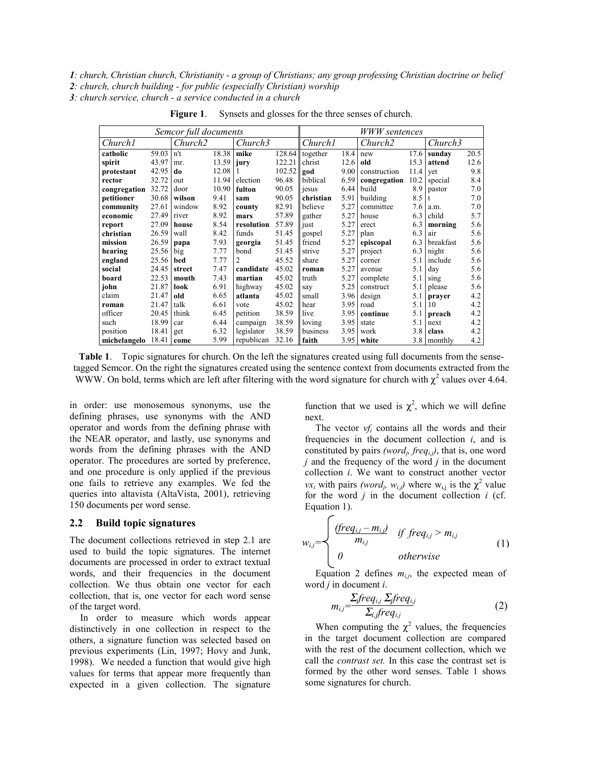*1: church, Christian church, Christianity - a group of Christians; any group professing Christian doctrine or belief 2: church, church building - for public (especially Christian) worship 3: church service, church - a service conducted in a church* 

|                     | <b>WWW</b> sentences |                     |       |              |        |                     |      |                     |      |           |      |
|---------------------|----------------------|---------------------|-------|--------------|--------|---------------------|------|---------------------|------|-----------|------|
| Church <sub>1</sub> |                      | Church <sub>2</sub> |       | Church3      |        | Church <sub>1</sub> |      | Church <sub>2</sub> |      | Church3   |      |
| catholic            | 59.03                | n't                 | 18.38 | mike         | 128.64 | together            | 18.4 | new                 | 17.6 | sunday    | 20.5 |
| spirit              | 43.97                | mr.                 | 13.59 | jury         | 122.21 | christ              | 12.6 | 15.3<br>old         |      | attend    | 12.6 |
| protestant          | 42.95                | do                  | 12.08 |              | 102.52 | god                 | 9.00 | construction        | 11.4 | yet       | 9.8  |
| rector              | 32.72                | out                 | 11.94 | election     | 96.48  | biblical            | 6.59 | congregation        | 10.2 | special   | 8.4  |
| congregation        | 32.72                | door                | 10.90 | fulton       | 90.05  | jesus               | 6.44 | build               | 8.9  | pastor    | 7.0  |
| petitioner          | 30.68                | wilson              | 9.41  | 90.05<br>sam |        | christian           | 5.91 | building            | 8.5  | t         | 7.0  |
| community           | 27.61                | window              | 8.92  | county       | 82.91  | believe             | 5.27 | committee           | 7.6  | a.m.      | 7.0  |
| economic            | 27.49                | river               | 8.92  | mars         | 57.89  | gather              | 5.27 | 6.3<br>house        |      | child     | 5.7  |
| report              | 27.09                | house               | 8.54  | resolution   | 57.89  | just                | 5.27 | erect               | 6.3  | morning   | 5.6  |
| christian           | 26.59                | wall                | 8.42  | funds        | 51.45  | gospel              | 5.27 | plan                | 6.3  | air       | 5.6  |
| mission             | 26.59                | papa                | 7.93  | georgia      | 51.45  | friend              | 5.27 | episcopal           | 6.3  | breakfast | 5.6  |
| hearing             | 25.56                | big                 | 7.77  | bond         | 51.45  | strive              | 5.27 | project             | 6.3  | night     | 5.6  |
| england             | 25.56                | bed                 | 7.77  | 2            | 45.52  | share               | 5.27 | 5.1<br>corner       |      | include   | 5.6  |
| social              | 24.45                | street              | 7.47  | candidate    | 45.02  | roman               | 5.27 | avenue              | 5.1  | day       | 5.6  |
| board               | 22.53                | mouth               | 7.43  | martian      | 45.02  | truth               | 5.27 | complete            | 5.1  | sing      | 5.6  |
| john                | 21.87                | look                | 6.91  | highway      | 45.02  | say                 | 5.25 | construct           | 5.1  | please    | 5.6  |
| claim               | 21.47                | old                 | 6.65  | atlanta      | 45.02  | 3.96<br>small       |      | 5.1<br>design       |      | prayer    | 4.2  |
| roman               | 21.47                | talk                | 6.61  | vote         | 45.02  | hear                | 3.95 | road                | 5.1  | 10        | 4.2  |
| officer             | 20.45                | think               | 6.45  | petition     | 38.59  | live                | 3.95 | continue            | 5.1  | preach    | 4.2  |
| such                | 18.99                | car                 | 6.44  | campaign     | 38.59  | loving              | 3.95 | state               | 5.1  | next      | 4.2  |
| position            | 18.41                | get                 | 6.32  | legislator   | 38.59  | business            | 3.95 | work                | 3.8  | class     | 4.2  |
| michelangelo        | 18.41                | come                | 5.99  | republican   | 32.16  | faith               | 3.95 | white               | 3.8  | monthly   | 4.2  |

**Figure 1**. Synsets and glosses for the three senses of church.

**Table 1**. Topic signatures for church. On the left the signatures created using full documents from the sensetagged Semcor. On the right the signatures created using the sentence context from documents extracted from the WWW. On bold, terms which are left after filtering with the word signature for church with  $\chi^2$  values over 4.64.

 $\sqrt{2}$ 

in order: use monosemous synonyms, use the defining phrases, use synonyms with the AND operator and words from the defining phrase with the NEAR operator, and lastly, use synonyms and words from the defining phrases with the AND operator. The procedures are sorted by preference, and one procedure is only applied if the previous one fails to retrieve any examples. We fed the queries into altavista (AltaVista, 2001), retrieving 150 documents per word sense.

#### **2.2 Build topic signatures**

The document collections retrieved in step 2.1 are used to build the topic signatures. The internet documents are processed in order to extract textual words, and their frequencies in the document collection. We thus obtain one vector for each collection, that is, one vector for each word sense of the target word.

In order to measure which words appear distinctively in one collection in respect to the others, a signature function was selected based on previous experiments (Lin, 1997; Hovy and Junk, 1998). We needed a function that would give high values for terms that appear more frequently than expected in a given collection. The signature

function that we used is  $\chi^2$ , which we will define next.

The vector *vfi* contains all the words and their frequencies in the document collection *i*, and is constituted by pairs *(word<sub>i</sub>, freq<sub>i,j</sub>)*, that is, one word *j* and the frequency of the word *j* in the document collection *i*. We want to construct another vector *vx<sub>i</sub>* with pairs *(word<sub>j</sub>, w<sub>i,j</sub>)* where w<sub>i,j</sub> is the  $\chi^2$  value for the word *j* in the document collection *i* (cf. Equation 1).

$$
w_{i,j} = \begin{cases} \frac{(freq_{i,j} - m_{i,j})}{m_{i,j}} & \text{if } freq_{i,j} > m_{i,j} \\ 0 & \text{otherwise} \end{cases}
$$
 (1)

Equation 2 defines  $m_{i,j}$ , the expected mean of word *j* in document *i*.

$$
m_{i,j} = \frac{\sum_{j} freq_{i,j} \sum_{j} freq_{i,j}}{\sum_{i,j} freq_{i,j}}
$$
 (2)

When computing the  $\chi^2$  values, the frequencies in the target document collection are compared with the rest of the document collection, which we call the *contrast set.* In this case the contrast set is formed by the other word senses. Table 1 shows some signatures for church.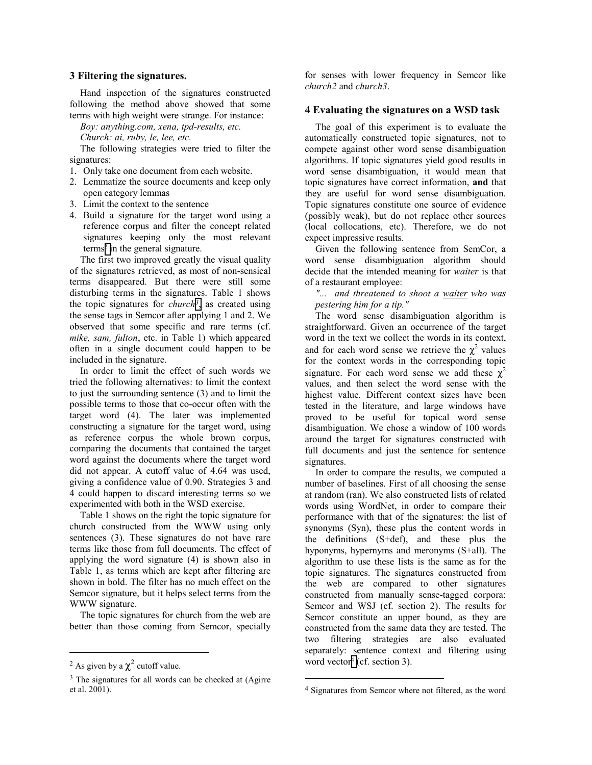#### **3 Filtering the signatures.**

Hand inspection of the signatures constructed following the method above showed that some terms with high weight were strange. For instance:

*Boy: anything.com, xena, tpd-results, etc.* 

*Church: ai, ruby, le, lee, etc.* 

The following strategies were tried to filter the signatures:

- 1. Only take one document from each website.
- 2. Lemmatize the source documents and keep only open category lemmas
- 3. Limit the context to the sentence
- 4. Build a signature for the target word using a reference corpus and filter the concept related signatures keeping only the most relevant terms<sup>2</sup> in the general signature.

The first two improved greatly the visual quality of the signatures retrieved, as most of non-sensical terms disappeared. But there were still some disturbing terms in the signatures. Table 1 shows the topic signatures for *church*<sup>3</sup>, as created using the sense tags in Semcor after applying 1 and 2. We observed that some specific and rare terms (cf. *mike, sam, fulton*, etc. in Table 1) which appeared often in a single document could happen to be included in the signature.

In order to limit the effect of such words we tried the following alternatives: to limit the context to just the surrounding sentence (3) and to limit the possible terms to those that co-occur often with the target word (4). The later was implemented constructing a signature for the target word, using as reference corpus the whole brown corpus, comparing the documents that contained the target word against the documents where the target word did not appear. A cutoff value of 4.64 was used, giving a confidence value of 0.90. Strategies 3 and 4 could happen to discard interesting terms so we experimented with both in the WSD exercise.

Table 1 shows on the right the topic signature for church constructed from the WWW using only sentences (3). These signatures do not have rare terms like those from full documents. The effect of applying the word signature (4) is shown also in Table 1, as terms which are kept after filtering are shown in bold. The filter has no much effect on the Semcor signature, but it helps select terms from the WWW signature.

The topic signatures for church from the web are better than those coming from Semcor, specially

 $\overline{a}$ 

for senses with lower frequency in Semcor like *church2* and *church3*.

#### **4 Evaluating the signatures on a WSD task**

The goal of this experiment is to evaluate the automatically constructed topic signatures, not to compete against other word sense disambiguation algorithms. If topic signatures yield good results in word sense disambiguation, it would mean that topic signatures have correct information, **and** that they are useful for word sense disambiguation. Topic signatures constitute one source of evidence (possibly weak), but do not replace other sources (local collocations, etc). Therefore, we do not expect impressive results.

Given the following sentence from SemCor, a word sense disambiguation algorithm should decide that the intended meaning for *waiter* is that of a restaurant employee:

*"... and threatened to shoot a waiter who was pestering him for a tip."* 

The word sense disambiguation algorithm is straightforward. Given an occurrence of the target word in the text we collect the words in its context, and for each word sense we retrieve the  $\chi^2$  values for the context words in the corresponding topic signature. For each word sense we add these  $\chi^2$ values, and then select the word sense with the highest value. Different context sizes have been tested in the literature, and large windows have proved to be useful for topical word sense disambiguation. We chose a window of 100 words around the target for signatures constructed with full documents and just the sentence for sentence signatures.

In order to compare the results, we computed a number of baselines. First of all choosing the sense at random (ran). We also constructed lists of related words using WordNet, in order to compare their performance with that of the signatures: the list of synonyms (Syn), these plus the content words in the definitions (S+def), and these plus the hyponyms, hypernyms and meronyms (S+all). The algorithm to use these lists is the same as for the topic signatures. The signatures constructed from the web are compared to other signatures constructed from manually sense-tagged corpora: Semcor and WSJ (cf. section 2). The results for Semcor constitute an upper bound, as they are constructed from the same data they are tested. The two filtering strategies are also evaluated separately: sentence context and filtering using word vector<sup>4</sup> (cf. section 3).

l

<sup>&</sup>lt;sup>2</sup> As given by a  $\chi^2$  cutoff value.

<sup>&</sup>lt;sup>3</sup> The signatures for all words can be checked at (Agirre et al. 2001).

<sup>4</sup> Signatures from Semcor where not filtered, as the word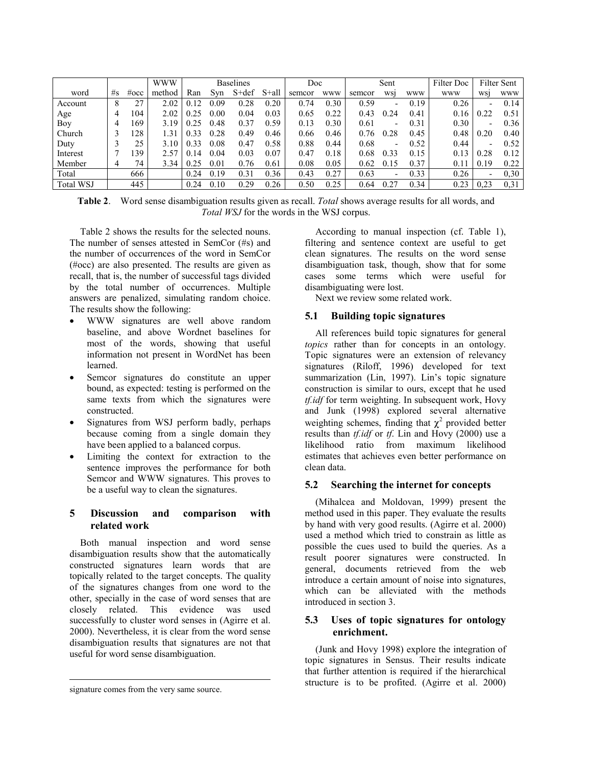|                  |    |         | <b>WWW</b> | <b>Baselines</b> |      |           | Doc   |        | Sent       |        |                          | Filter Doc | <b>Filter Sent</b> |                |            |
|------------------|----|---------|------------|------------------|------|-----------|-------|--------|------------|--------|--------------------------|------------|--------------------|----------------|------------|
| word             | #s | $\#occ$ | method     | Ran              | Svn  | $S + def$ | S+all | semcor | <b>WWW</b> | semcor | WS1                      | <b>WWW</b> | <b>WWW</b>         | WS1            | <b>WWW</b> |
| Account          | 8  | 27      | 2.02       | 0.12             | 0.09 | 0.28      | 0.20  | 0.74   | 0.30       | 0.59   | $\overline{\phantom{a}}$ | 0.19       | 0.26               | -              | 0.14       |
| Age              | 4  | 104     | 2.02       | 0.25             | 0.00 | 0.04      | 0.03  | 0.65   | 0.22       | 0.43   | 0.24                     | 0.41       | 0.16               | 0.22           | 0.51       |
| Boy              | 4  | 169     | 3.19       | 0.25             | 0.48 | 0.37      | 0.59  | 0.13   | 0.30       | 0.61   | $\overline{\phantom{a}}$ | 0.31       | 0.30               | $\blacksquare$ | 0.36       |
| Church           |    | 128     | 1.31       | 0.33             | 0.28 | 0.49      | 0.46  | 0.66   | 0.46       | 0.76   | 0.28                     | 0.45       | 0.48               | 0.20           | 0.40       |
| Duty             |    | 25      | 3.10       | 0.33             | 0.08 | 0.47      | 0.58  | 0.88   | 0.44       | 0.68   | $\overline{\phantom{a}}$ | 0.52       | 0.44               | ۰              | 0.52       |
| Interest         |    | 139     | 2.57       | 0.14             | 0.04 | 0.03      | 0.07  | 0.47   | 0.18       | 0.68   | 0.33                     | 0.15       | 0.13               | 0.28           | 0.12       |
| Member           | 4  | 74      | 3.34       | 0.25             | 0.01 | 0.76      | 0.61  | 0.08   | 0.05       | 0.62   | 0.15                     | 0.37       | 0.1                | 0.19           | 0.22       |
| Total            |    | 666     |            | 0.24             | 0.19 | 0.31      | 0.36  | 0.43   | 0.27       | 0.63   | $\overline{\phantom{a}}$ | 0.33       | 0.26               | -              | 0.30       |
| <b>Total WSJ</b> |    | 445     |            | 0.24             | 0.10 | 0.29      | 0.26  | 0.50   | 0.25       | 0.64   | 0.27                     | 0.34       | 0.23               | 0,23           | 0.31       |

**Table 2**. Word sense disambiguation results given as recall. *Total* shows average results for all words, and *Total WSJ* for the words in the WSJ corpus.

Table 2 shows the results for the selected nouns. The number of senses attested in SemCor (#s) and the number of occurrences of the word in SemCor (#occ) are also presented. The results are given as recall, that is, the number of successful tags divided by the total number of occurrences. Multiple answers are penalized, simulating random choice. The results show the following:

- WWW signatures are well above random baseline, and above Wordnet baselines for most of the words, showing that useful information not present in WordNet has been learned.
- Semcor signatures do constitute an upper bound, as expected: testing is performed on the same texts from which the signatures were constructed.
- Signatures from WSJ perform badly, perhaps because coming from a single domain they have been applied to a balanced corpus.
- Limiting the context for extraction to the sentence improves the performance for both Semcor and WWW signatures. This proves to be a useful way to clean the signatures.

# **5 Discussion and comparison with related work**

Both manual inspection and word sense disambiguation results show that the automatically constructed signatures learn words that are topically related to the target concepts. The quality of the signatures changes from one word to the other, specially in the case of word senses that are closely related. This evidence was used successfully to cluster word senses in (Agirre et al. 2000). Nevertheless, it is clear from the word sense disambiguation results that signatures are not that useful for word sense disambiguation.

According to manual inspection (cf. Table 1), filtering and sentence context are useful to get clean signatures. The results on the word sense disambiguation task, though, show that for some cases some terms which were useful for disambiguating were lost.

Next we review some related work.

# **5.1 Building topic signatures**

All references build topic signatures for general *topics* rather than for concepts in an ontology. Topic signatures were an extension of relevancy signatures (Riloff, 1996) developed for text summarization (Lin, 1997). Lin's topic signature construction is similar to ours, except that he used *tf.idf* for term weighting. In subsequent work, Hovy and Junk (1998) explored several alternative weighting schemes, finding that  $\chi^2$  provided better results than *tf.idf* or *tf*. Lin and Hovy (2000) use a likelihood ratio from maximum likelihood estimates that achieves even better performance on clean data.

# **5.2 Searching the internet for concepts**

(Mihalcea and Moldovan, 1999) present the method used in this paper. They evaluate the results by hand with very good results. (Agirre et al. 2000) used a method which tried to constrain as little as possible the cues used to build the queries. As a result poorer signatures were constructed. In general, documents retrieved from the web introduce a certain amount of noise into signatures, which can be alleviated with the methods introduced in section 3.

# **5.3 Uses of topic signatures for ontology enrichment.**

(Junk and Hovy 1998) explore the integration of topic signatures in Sensus. Their results indicate that further attention is required if the hierarchical structure is to be profited. (Agirre et al. 2000)

l

signature comes from the very same source.